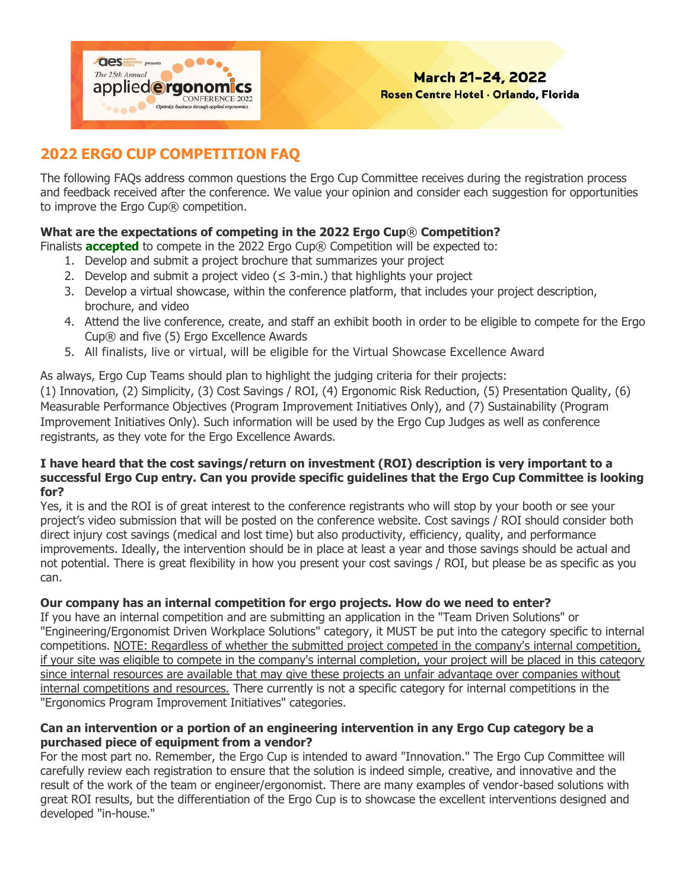

# **2022 ERGO CUP COMPETITION FAQ**

The following FAQs address common questions the Ergo Cup Committee receives during the registration process and feedback received after the conference. We value your opinion and consider each suggestion for opportunities to improve the Ergo Cup® competition.

### **What are the expectations of competing in the 2022 Ergo Cup**® **Competition?**

Finalists **accepted** to compete in the 2022 Ergo Cup® Competition will be expected to:

- 1. Develop and submit a project brochure that summarizes your project
- 2. Develop and submit a project video  $(\leq 3$ -min.) that highlights your project
- 3. Develop a virtual showcase, within the conference platform, that includes your project description, brochure, and video
- 4. Attend the live conference, create, and staff an exhibit booth in order to be eligible to compete for the Ergo Cup® and five (5) Ergo Excellence Awards
- 5. All finalists, live or virtual, will be eligible for the Virtual Showcase Excellence Award

As always, Ergo Cup Teams should plan to highlight the judging criteria for their projects: (1) Innovation, (2) Simplicity, (3) Cost Savings / ROI, (4) Ergonomic Risk Reduction, (5) Presentation Quality, (6) Measurable Performance Objectives (Program Improvement Initiatives Only), and (7) Sustainability (Program Improvement Initiatives Only). Such information will be used by the Ergo Cup Judges as well as conference registrants, as they vote for the Ergo Excellence Awards.

#### **I have heard that the cost savings/return on investment (ROI) description is very important to a successful Ergo Cup entry. Can you provide specific guidelines that the Ergo Cup Committee is looking for?**

Yes, it is and the ROI is of great interest to the conference registrants who will stop by your booth or see your project's video submission that will be posted on the conference website. Cost savings / ROI should consider both direct injury cost savings (medical and lost time) but also productivity, efficiency, quality, and performance improvements. Ideally, the intervention should be in place at least a year and those savings should be actual and not potential. There is great flexibility in how you present your cost savings / ROI, but please be as specific as you can.

#### **Our company has an internal competition for ergo projects. How do we need to enter?**

If you have an internal competition and are submitting an application in the "Team Driven Solutions" or "Engineering/Ergonomist Driven Workplace Solutions" category, it MUST be put into the category specific to internal competitions. NOTE: Regardless of whether the submitted project competed in the company's internal competition, if your site was eligible to compete in the company's internal completion, your project will be placed in this category since internal resources are available that may give these projects an unfair advantage over companies without internal competitions and resources. There currently is not a specific category for internal competitions in the "Ergonomics Program Improvement Initiatives" categories.

#### **Can an intervention or a portion of an engineering intervention in any Ergo Cup category be a purchased piece of equipment from a vendor?**

For the most part no. Remember, the Ergo Cup is intended to award "Innovation." The Ergo Cup Committee will carefully review each registration to ensure that the solution is indeed simple, creative, and innovative and the result of the work of the team or engineer/ergonomist. There are many examples of vendor-based solutions with great ROI results, but the differentiation of the Ergo Cup is to showcase the excellent interventions designed and developed "in-house."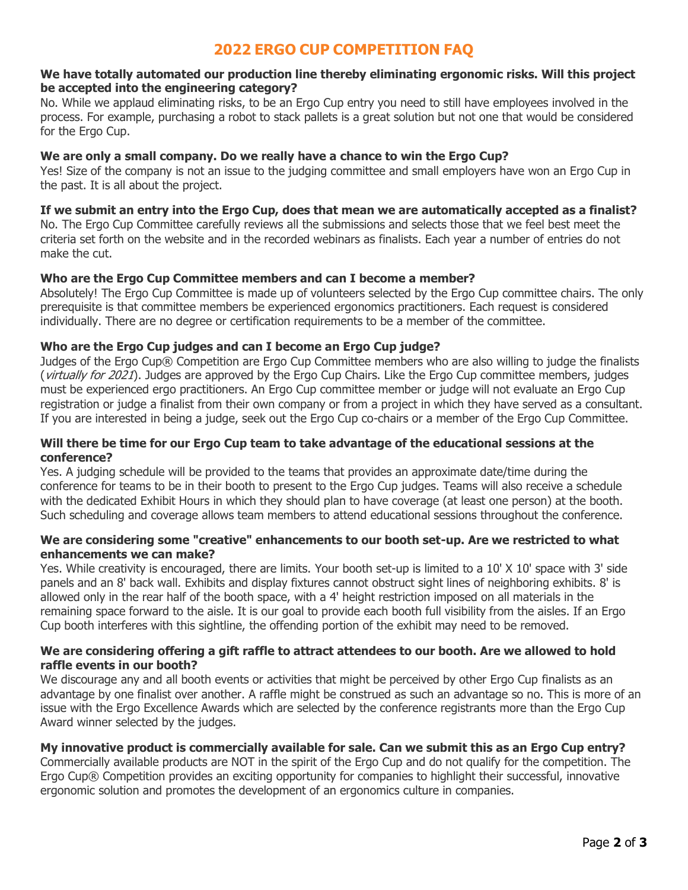## **2022 ERGO CUP COMPETITION FAQ**

#### **We have totally automated our production line thereby eliminating ergonomic risks. Will this project be accepted into the engineering category?**

No. While we applaud eliminating risks, to be an Ergo Cup entry you need to still have employees involved in the process. For example, purchasing a robot to stack pallets is a great solution but not one that would be considered for the Ergo Cup.

#### **We are only a small company. Do we really have a chance to win the Ergo Cup?**

Yes! Size of the company is not an issue to the judging committee and small employers have won an Ergo Cup in the past. It is all about the project.

#### **If we submit an entry into the Ergo Cup, does that mean we are automatically accepted as a finalist?**

No. The Ergo Cup Committee carefully reviews all the submissions and selects those that we feel best meet the criteria set forth on the website and in the recorded webinars as finalists. Each year a number of entries do not make the cut.

#### **Who are the Ergo Cup Committee members and can I become a member?**

Absolutely! The Ergo Cup Committee is made up of volunteers selected by the Ergo Cup committee chairs. The only prerequisite is that committee members be experienced ergonomics practitioners. Each request is considered individually. There are no degree or certification requirements to be a member of the committee.

#### **Who are the Ergo Cup judges and can I become an Ergo Cup judge?**

Judges of the Ergo Cup® Competition are Ergo Cup Committee members who are also willing to judge the finalists (*virtually for 2021*). Judges are approved by the Ergo Cup Chairs. Like the Ergo Cup committee members, judges must be experienced ergo practitioners. An Ergo Cup committee member or judge will not evaluate an Ergo Cup registration or judge a finalist from their own company or from a project in which they have served as a consultant. If you are interested in being a judge, seek out the Ergo Cup co-chairs or a member of the Ergo Cup Committee.

#### **Will there be time for our Ergo Cup team to take advantage of the educational sessions at the conference?**

Yes. A judging schedule will be provided to the teams that provides an approximate date/time during the conference for teams to be in their booth to present to the Ergo Cup judges. Teams will also receive a schedule with the dedicated Exhibit Hours in which they should plan to have coverage (at least one person) at the booth. Such scheduling and coverage allows team members to attend educational sessions throughout the conference.

#### **We are considering some "creative" enhancements to our booth set-up. Are we restricted to what enhancements we can make?**

Yes. While creativity is encouraged, there are limits. Your booth set-up is limited to a 10' X 10' space with 3' side panels and an 8' back wall. Exhibits and display fixtures cannot obstruct sight lines of neighboring exhibits. 8' is allowed only in the rear half of the booth space, with a 4' height restriction imposed on all materials in the remaining space forward to the aisle. It is our goal to provide each booth full visibility from the aisles. If an Ergo Cup booth interferes with this sightline, the offending portion of the exhibit may need to be removed.

#### **We are considering offering a gift raffle to attract attendees to our booth. Are we allowed to hold raffle events in our booth?**

We discourage any and all booth events or activities that might be perceived by other Ergo Cup finalists as an advantage by one finalist over another. A raffle might be construed as such an advantage so no. This is more of an issue with the Ergo Excellence Awards which are selected by the conference registrants more than the Ergo Cup Award winner selected by the judges.

#### **My innovative product is commercially available for sale. Can we submit this as an Ergo Cup entry?**

Commercially available products are NOT in the spirit of the Ergo Cup and do not qualify for the competition. The Ergo Cup® Competition provides an exciting opportunity for companies to highlight their successful, innovative ergonomic solution and promotes the development of an ergonomics culture in companies.